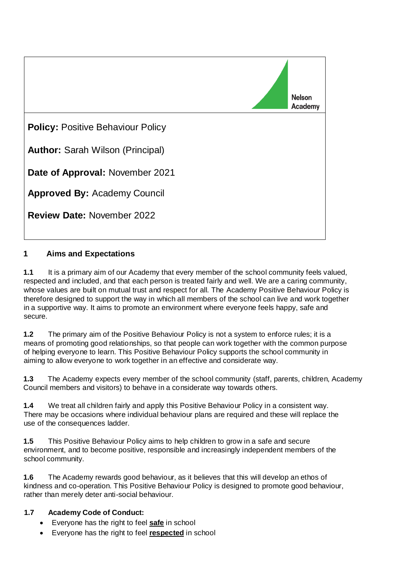

## **1 Aims and Expectations**

**1.1** It is a primary aim of our Academy that every member of the school community feels valued, respected and included, and that each person is treated fairly and well. We are a caring community, whose values are built on mutual trust and respect for all. The Academy Positive Behaviour Policy is therefore designed to support the way in which all members of the school can live and work together in a supportive way. It aims to promote an environment where everyone feels happy, safe and secure.

**1.2** The primary aim of the Positive Behaviour Policy is not a system to enforce rules; it is a means of promoting good relationships, so that people can work together with the common purpose of helping everyone to learn. This Positive Behaviour Policy supports the school community in aiming to allow everyone to work together in an effective and considerate way.

**1.3** The Academy expects every member of the school community (staff, parents, children, Academy Council members and visitors) to behave in a considerate way towards others.

**1.4** We treat all children fairly and apply this Positive Behaviour Policy in a consistent way. There may be occasions where individual behaviour plans are required and these will replace the use of the consequences ladder.

**1.5** This Positive Behaviour Policy aims to help children to grow in a safe and secure environment, and to become positive, responsible and increasingly independent members of the school community.

**1.6** The Academy rewards good behaviour, as it believes that this will develop an ethos of kindness and co-operation. This Positive Behaviour Policy is designed to promote good behaviour, rather than merely deter anti-social behaviour.

#### **1.7 Academy Code of Conduct:**

- Everyone has the right to feel **safe** in school
- Everyone has the right to feel **respected** in school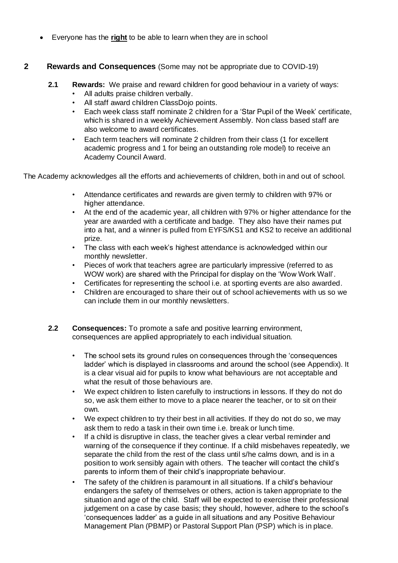• Everyone has the **right** to be able to learn when they are in school

#### **2 Rewards and Consequences** (Some may not be appropriate due to COVID-19)

- **2.1 Rewards:** We praise and reward children for good behaviour in a variety of ways:
	- All adults praise children verbally.
	- All staff award children ClassDojo points.
	- Each week class staff nominate 2 children for a 'Star Pupil of the Week' certificate, which is shared in a weekly Achievement Assembly. Non class based staff are also welcome to award certificates.
	- Each term teachers will nominate 2 children from their class (1 for excellent academic progress and 1 for being an outstanding role model) to receive an Academy Council Award.

The Academy acknowledges all the efforts and achievements of children, both in and out of school.

- Attendance certificates and rewards are given termly to children with 97% or higher attendance.
- At the end of the academic year, all children with 97% or higher attendance for the year are awarded with a certificate and badge. They also have their names put into a hat, and a winner is pulled from EYFS/KS1 and KS2 to receive an additional prize.
- The class with each week's highest attendance is acknowledged within our monthly newsletter.
- Pieces of work that teachers agree are particularly impressive (referred to as WOW work) are shared with the Principal for display on the 'Wow Work Wall'.
- Certificates for representing the school i.e. at sporting events are also awarded.
- Children are encouraged to share their out of school achievements with us so we can include them in our monthly newsletters.
- **2.2 Consequences:** To promote a safe and positive learning environment, consequences are applied appropriately to each individual situation.
	- The school sets its ground rules on consequences through the 'consequences ladder' which is displayed in classrooms and around the school (see Appendix). It is a clear visual aid for pupils to know what behaviours are not acceptable and what the result of those behaviours are.
	- We expect children to listen carefully to instructions in lessons. If they do not do so, we ask them either to move to a place nearer the teacher, or to sit on their own.
	- We expect children to try their best in all activities. If they do not do so, we may ask them to redo a task in their own time i.e. break or lunch time.
	- If a child is disruptive in class, the teacher gives a clear verbal reminder and warning of the consequence if they continue. If a child misbehaves repeatedly, we separate the child from the rest of the class until s/he calms down, and is in a position to work sensibly again with others. The teacher will contact the child's parents to inform them of their child's inappropriate behaviour.
	- The safety of the children is paramount in all situations. If a child's behaviour endangers the safety of themselves or others, action is taken appropriate to the situation and age of the child. Staff will be expected to exercise their professional judgement on a case by case basis; they should, however, adhere to the school's 'consequences ladder' as a guide in all situations and any Positive Behaviour Management Plan (PBMP) or Pastoral Support Plan (PSP) which is in place.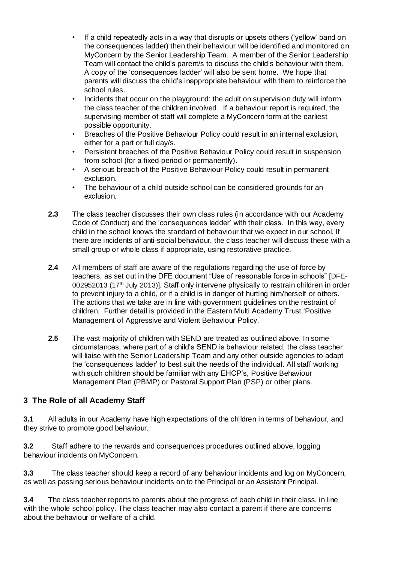- If a child repeatedly acts in a way that disrupts or upsets others ('yellow' band on the consequences ladder) then their behaviour will be identified and monitored on MyConcern by the Senior Leadership Team. A member of the Senior Leadership Team will contact the child's parent/s to discuss the child's behaviour with them. A copy of the 'consequences ladder' will also be sent home. We hope that parents will discuss the child's inappropriate behaviour with them to reinforce the school rules.
- Incidents that occur on the playground: the adult on supervision duty will inform the class teacher of the children involved. If a behaviour report is required, the supervising member of staff will complete a MyConcern form at the earliest possible opportunity.
- Breaches of the Positive Behaviour Policy could result in an internal exclusion, either for a part or full day/s.
- Persistent breaches of the Positive Behaviour Policy could result in suspension from school (for a fixed-period or permanently).
- A serious breach of the Positive Behaviour Policy could result in permanent exclusion.
- The behaviour of a child outside school can be considered grounds for an exclusion.
- **2.3** The class teacher discusses their own class rules (in accordance with our Academy Code of Conduct) and the 'consequences ladder' with their class. In this way, every child in the school knows the standard of behaviour that we expect in our school. If there are incidents of anti-social behaviour, the class teacher will discuss these with a small group or whole class if appropriate, using restorative practice.
- **2.4** All members of staff are aware of the regulations regarding the use of force by teachers, as set out in the DFE document "Use of reasonable force in schools" [DFE-002952013 (17<sup>th</sup> July 2013)]. Staff only intervene physically to restrain children in order to prevent injury to a child, or if a child is in danger of hurting him/herself or others. The actions that we take are in line with government guidelines on the restraint of children. Further detail is provided in the Eastern Multi Academy Trust 'Positive Management of Aggressive and Violent Behaviour Policy.'
- **2.5** The vast majority of children with SEND are treated as outlined above. In some circumstances, where part of a child's SEND is behaviour related, the class teacher will liaise with the Senior Leadership Team and any other outside agencies to adapt the 'consequences ladder' to best suit the needs of the individual. All staff working with such children should be familiar with any EHCP's, Positive Behaviour Management Plan (PBMP) or Pastoral Support Plan (PSP) or other plans.

## **3 The Role of all Academy Staff**

**3.1** All adults in our Academy have high expectations of the children in terms of behaviour, and they strive to promote good behaviour.

**3.2** Staff adhere to the rewards and consequences procedures outlined above, logging behaviour incidents on MyConcern.

**3.3** The class teacher should keep a record of any behaviour incidents and log on MyConcern, as well as passing serious behaviour incidents on to the Principal or an Assistant Principal.

**3.4** The class teacher reports to parents about the progress of each child in their class, in line with the whole school policy. The class teacher may also contact a parent if there are concerns about the behaviour or welfare of a child.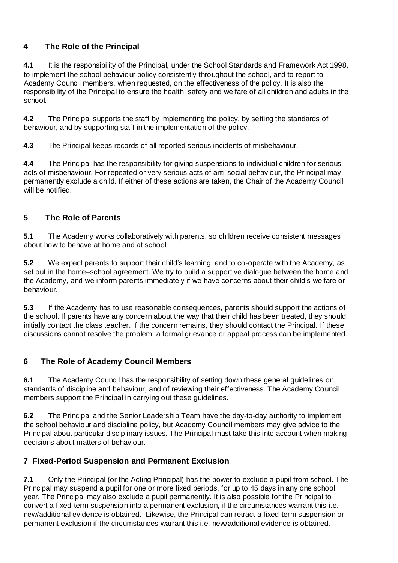# **4 The Role of the Principal**

**4.1** It is the responsibility of the Principal, under the School Standards and Framework Act 1998, to implement the school behaviour policy consistently throughout the school, and to report to Academy Council members, when requested, on the effectiveness of the policy. It is also the responsibility of the Principal to ensure the health, safety and welfare of all children and adults in the school.

**4.2** The Principal supports the staff by implementing the policy, by setting the standards of behaviour, and by supporting staff in the implementation of the policy.

**4.3** The Principal keeps records of all reported serious incidents of misbehaviour.

**4.4** The Principal has the responsibility for giving suspensions to individual children for serious acts of misbehaviour. For repeated or very serious acts of anti-social behaviour, the Principal may permanently exclude a child. If either of these actions are taken, the Chair of the Academy Council will be notified.

## **5 The Role of Parents**

**5.1** The Academy works collaboratively with parents, so children receive consistent messages about how to behave at home and at school.

**5.2** We expect parents to support their child's learning, and to co-operate with the Academy, as set out in the home–school agreement. We try to build a supportive dialogue between the home and the Academy, and we inform parents immediately if we have concerns about their child's welfare or behaviour.

**5.3** If the Academy has to use reasonable consequences, parents should support the actions of the school. If parents have any concern about the way that their child has been treated, they should initially contact the class teacher. If the concern remains, they should contact the Principal. If these discussions cannot resolve the problem, a formal grievance or appeal process can be implemented.

## **6 The Role of Academy Council Members**

**6.1** The Academy Council has the responsibility of setting down these general guidelines on standards of discipline and behaviour, and of reviewing their effectiveness. The Academy Council members support the Principal in carrying out these guidelines.

**6.2** The Principal and the Senior Leadership Team have the day-to-day authority to implement the school behaviour and discipline policy, but Academy Council members may give advice to the Principal about particular disciplinary issues. The Principal must take this into account when making decisions about matters of behaviour.

## **7 Fixed-Period Suspension and Permanent Exclusion**

**7.1** Only the Principal (or the Acting Principal) has the power to exclude a pupil from school. The Principal may suspend a pupil for one or more fixed periods, for up to 45 days in any one school year. The Principal may also exclude a pupil permanently. It is also possible for the Principal to convert a fixed-term suspension into a permanent exclusion, if the circumstances warrant this i.e. new/additional evidence is obtained. Likewise, the Principal can retract a fixed-term suspension or permanent exclusion if the circumstances warrant this i.e. new/additional evidence is obtained.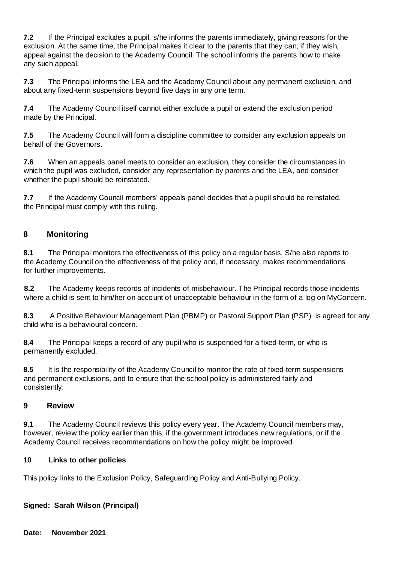**7.2** If the Principal excludes a pupil, s/he informs the parents immediately, giving reasons for the exclusion. At the same time, the Principal makes it clear to the parents that they can, if they wish, appeal against the decision to the Academy Council. The school informs the parents how to make any such appeal.

**7.3** The Principal informs the LEA and the Academy Council about any permanent exclusion, and about any fixed-term suspensions beyond five days in any one term.

**7.4** The Academy Council itself cannot either exclude a pupil or extend the exclusion period made by the Principal.

**7.5** The Academy Council will form a discipline committee to consider any exclusion appeals on behalf of the Governors.

**7.6** When an appeals panel meets to consider an exclusion, they consider the circumstances in which the pupil was excluded, consider any representation by parents and the LEA, and consider whether the pupil should be reinstated.

**7.7** If the Academy Council members' appeals panel decides that a pupil should be reinstated, the Principal must comply with this ruling.

## **8 Monitoring**

**8.1** The Principal monitors the effectiveness of this policy on a regular basis. S/he also reports to the Academy Council on the effectiveness of the policy and, if necessary, makes recommendations for further improvements.

**8.2** The Academy keeps records of incidents of misbehaviour. The Principal records those incidents where a child is sent to him/her on account of unacceptable behaviour in the form of a log on MyConcern.

**8.3** A Positive Behaviour Management Plan (PBMP) or Pastoral Support Plan (PSP) is agreed for any child who is a behavioural concern.

**8.4** The Principal keeps a record of any pupil who is suspended for a fixed-term, or who is permanently excluded.

**8.5** It is the responsibility of the Academy Council to monitor the rate of fixed-term suspensions and permanent exclusions, and to ensure that the school policy is administered fairly and consistently.

## **9 Review**

**9.1** The Academy Council reviews this policy every year. The Academy Council members may, however, review the policy earlier than this, if the government introduces new regulations, or if the Academy Council receives recommendations on how the policy might be improved.

#### **10 Links to other policies**

This policy links to the Exclusion Policy, Safeguarding Policy and Anti-Bullying Policy.

**Signed: Sarah Wilson (Principal)**

**Date: November 2021**